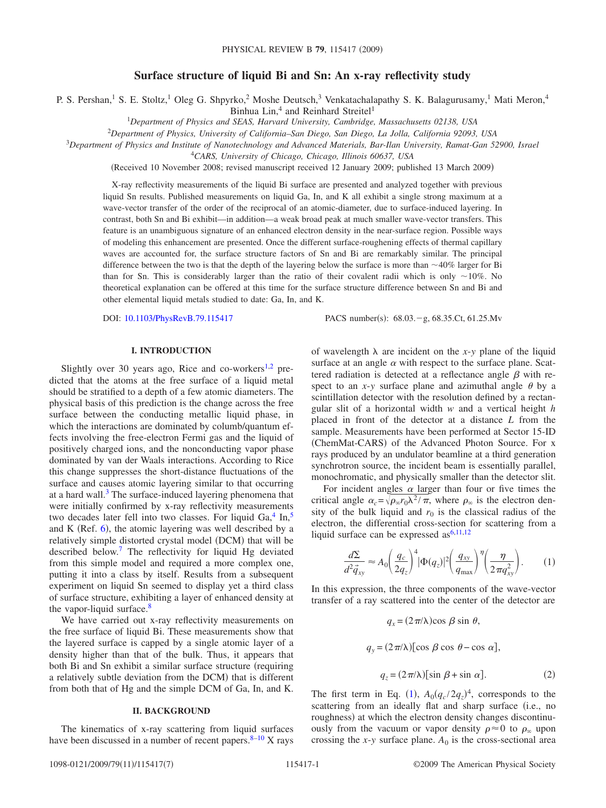# **Surface structure of liquid Bi and Sn: An x-ray reflectivity study**

P. S. Pershan,<sup>1</sup> S. E. Stoltz,<sup>1</sup> Oleg G. Shpyrko,<sup>2</sup> Moshe Deutsch,<sup>3</sup> Venkatachalapathy S. K. Balagurusamy,<sup>1</sup> Mati Meron,<sup>4</sup>

Binhua Lin,<sup>4</sup> and Reinhard Streitel<sup>1</sup>

1 *Department of Physics and SEAS, Harvard University, Cambridge, Massachusetts 02138, USA*

<sup>2</sup>*Department of Physics, University of California–San Diego, San Diego, La Jolla, California 92093, USA*

<sup>3</sup>*Department of Physics and Institute of Nanotechnology and Advanced Materials, Bar-Ilan University, Ramat-Gan 52900, Israel*

4 *CARS, University of Chicago, Chicago, Illinois 60637, USA*

Received 10 November 2008; revised manuscript received 12 January 2009; published 13 March 2009-

X-ray reflectivity measurements of the liquid Bi surface are presented and analyzed together with previous liquid Sn results. Published measurements on liquid Ga, In, and K all exhibit a single strong maximum at a wave-vector transfer of the order of the reciprocal of an atomic-diameter, due to surface-induced layering. In contrast, both Sn and Bi exhibit—in addition—a weak broad peak at much smaller wave-vector transfers. This feature is an unambiguous signature of an enhanced electron density in the near-surface region. Possible ways of modeling this enhancement are presented. Once the different surface-roughening effects of thermal capillary waves are accounted for, the surface structure factors of Sn and Bi are remarkably similar. The principal difference between the two is that the depth of the layering below the surface is more than 40*%* larger for Bi than for Sn. This is considerably larger than the ratio of their covalent radii which is only  $\sim$ 10%. No theoretical explanation can be offered at this time for the surface structure difference between Sn and Bi and other elemental liquid metals studied to date: Ga, In, and K.

DOI: [10.1103/PhysRevB.79.115417](http://dx.doi.org/10.1103/PhysRevB.79.115417)

PACS number(s):  $68.03 - g$ ,  $68.35$ .Ct,  $61.25$ .Mv

### **I. INTRODUCTION**

Slightly over 30 years ago, Rice and co-workers $1,2$  $1,2$  predicted that the atoms at the free surface of a liquid metal should be stratified to a depth of a few atomic diameters. The physical basis of this prediction is the change across the free surface between the conducting metallic liquid phase, in which the interactions are dominated by columb/quantum effects involving the free-electron Fermi gas and the liquid of positively charged ions, and the nonconducting vapor phase dominated by van der Waals interactions. According to Rice this change suppresses the short-distance fluctuations of the surface and causes atomic layering similar to that occurring at a hard wall. $3$  The surface-induced layering phenomena that were initially confirmed by x-ray reflectivity measurements two decades later fell into two classes. For liquid  $Ga<sub>3</sub><sup>4</sup> In<sub>3</sub><sup>5</sup>$ and K (Ref.  $6$ ), the atomic layering was well described by a relatively simple distorted crystal model (DCM) that will be described below[.7](#page-6-6) The reflectivity for liquid Hg deviated from this simple model and required a more complex one, putting it into a class by itself. Results from a subsequent experiment on liquid Sn seemed to display yet a third class of surface structure, exhibiting a layer of enhanced density at the vapor-liquid surface.<sup>8</sup>

We have carried out x-ray reflectivity measurements on the free surface of liquid Bi. These measurements show that the layered surface is capped by a single atomic layer of a density higher than that of the bulk. Thus, it appears that both Bi and Sn exhibit a similar surface structure (requiring a relatively subtle deviation from the DCM) that is different from both that of Hg and the simple DCM of Ga, In, and K.

# **II. BACKGROUND**

The kinematics of x-ray scattering from liquid surfaces have been discussed in a number of recent papers. $8-10$  $8-10$  X rays

of wavelength  $\lambda$  are incident on the *x*-*y* plane of the liquid surface at an angle  $\alpha$  with respect to the surface plane. Scattered radiation is detected at a reflectance angle  $\beta$  with respect to an *x*-*y* surface plane and azimuthal angle  $\theta$  by a scintillation detector with the resolution defined by a rectangular slit of a horizontal width *w* and a vertical height *h* placed in front of the detector at a distance *L* from the sample. Measurements have been performed at Sector 15-ID (ChemMat-CARS) of the Advanced Photon Source. For x rays produced by an undulator beamline at a third generation synchrotron source, the incident beam is essentially parallel, monochromatic, and physically smaller than the detector slit.

For incident angles  $\alpha$  larger than four or five times the critical angle  $\alpha_c = \sqrt{\rho_{\infty} r_0 \lambda^2 / \pi}$ , where  $\rho_{\infty}$  is the electron density of the bulk liquid and  $r_0$  is the classical radius of the electron, the differential cross-section for scattering from a liquid surface can be expressed  $as^{6,11,12}$  $as^{6,11,12}$  $as^{6,11,12}$  $as^{6,11,12}$ 

$$
\frac{d\Sigma}{d^2 \vec{q}_{xy}} \approx A_0 \left(\frac{q_c}{2q_z}\right)^4 |\Phi(q_z)|^2 \left(\frac{q_{xy}}{q_{\text{max}}}\right)^{\eta} \left(\frac{\eta}{2\pi q_{xy}^2}\right). \tag{1}
$$

<span id="page-0-1"></span><span id="page-0-0"></span>In this expression, the three components of the wave-vector transfer of a ray scattered into the center of the detector are

$$
q_x = (2\pi/\lambda)\cos \beta \sin \theta,
$$
  
\n
$$
q_y = (2\pi/\lambda)[\cos \beta \cos \theta - \cos \alpha],
$$
  
\n
$$
q_z = (2\pi/\lambda)[\sin \beta + \sin \alpha].
$$
\n(2)

The first term in Eq. ([1](#page-0-0)),  $A_0(q_c/2q_z)^4$ , corresponds to the scattering from an ideally flat and sharp surface (i.e., no roughness) at which the electron density changes discontinuously from the vacuum or vapor density  $\rho \approx 0$  to  $\rho_{\infty}$  upon crossing the *x*-*y* surface plane.  $A_0$  is the cross-sectional area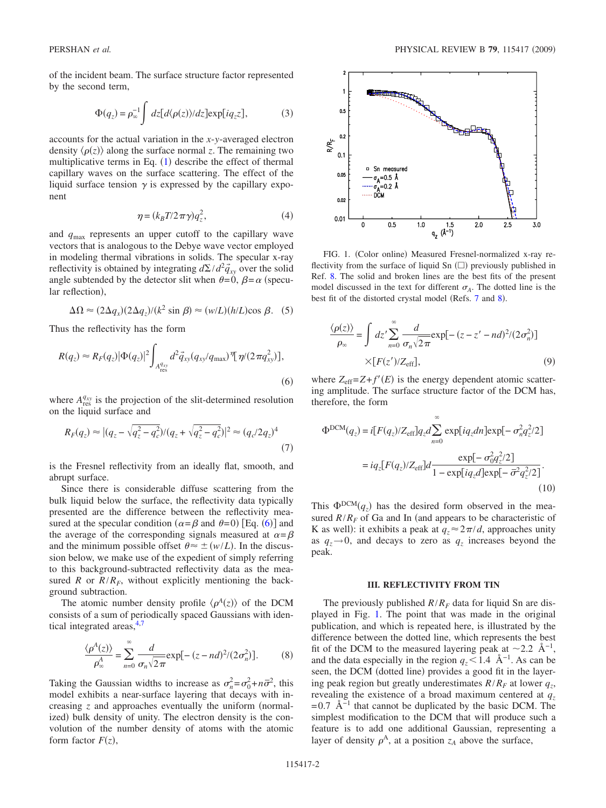of the incident beam. The surface structure factor represented by the second term,

$$
\Phi(q_z) = \rho_{\infty}^{-1} \int dz [d\langle \rho(z) \rangle / dz] \exp[i q_z z], \tag{3}
$$

<span id="page-1-4"></span>accounts for the actual variation in the *x*-*y*-averaged electron density  $\langle \rho(z) \rangle$  along the surface normal *z*. The remaining two multiplicative terms in Eq.  $(1)$  $(1)$  $(1)$  describe the effect of thermal capillary waves on the surface scattering. The effect of the liquid surface tension  $\gamma$  is expressed by the capillary exponent

$$
\eta = (k_B T / 2 \pi \gamma) q_z^2,\tag{4}
$$

<span id="page-1-2"></span>and *q*max represents an upper cutoff to the capillary wave vectors that is analogous to the Debye wave vector employed in modeling thermal vibrations in solids. The specular x-ray reflectivity is obtained by integrating  $d\Sigma/d^2 \vec{q}_{xy}$  over the solid angle subtended by the detector slit when  $\theta = 0$ ,  $\beta = \alpha$  (specular reflection),

$$
\Delta \Omega \approx (2\Delta q_x)(2\Delta q_z)/(k^2 \sin \beta) \approx (w/L)(h/L)\cos \beta. \quad (5)
$$

Thus the reflectivity has the form

<span id="page-1-0"></span>
$$
R(q_z) \approx R_F(q_z) |\Phi(q_z)|^2 \int_{A_{\text{res}}^{q_{xy}}} d^2 \vec{q}_{xy} (q_{xy}/q_{\text{max}}) \, \eta (2\pi q_{xy}^2) ],
$$
\n(6)

where  $A_{\text{res}}^{q_{xy}}$  is the projection of the slit-determined resolution on the liquid surface and

$$
R_F(q_z) \approx |(q_z - \sqrt{q_z^2 - q_c^2})/(q_z + \sqrt{q_z^2 - q_c^2})|^2 \approx (q_c/2q_z)^4
$$
\n(7)

is the Fresnel reflectivity from an ideally flat, smooth, and abrupt surface.

Since there is considerable diffuse scattering from the bulk liquid below the surface, the reflectivity data typically presented are the difference between the reflectivity measured at the specular condition ( $\alpha = \beta$  and  $\theta = 0$ ) [Eq. ([6](#page-1-0))] and the average of the corresponding signals measured at  $\alpha = \beta$ and the minimum possible offset  $\theta \approx \pm (w/L)$ . In the discussion below, we make use of the expedient of simply referring to this background-subtracted reflectivity data as the measured *R* or  $R/R_F$ , without explicitly mentioning the background subtraction.

The atomic number density profile  $\langle \rho^A(z) \rangle$  of the DCM consists of a sum of periodically spaced Gaussians with identical integrated areas, $4,7$  $4,7$ 

$$
\frac{\langle \rho^A(z) \rangle}{\rho^A_{\infty}} = \sum_{n=0}^{\infty} \frac{d}{\sigma_n \sqrt{2\pi}} \exp[-(z - nd)^2 / (2\sigma_n^2)].
$$
 (8)

Taking the Gaussian widths to increase as  $\sigma_n^2 = \sigma_0^2 + n\bar{\sigma}^2$ , this model exhibits a near-surface layering that decays with increasing  $\zeta$  and approaches eventually the uniform (normalized) bulk density of unity. The electron density is the convolution of the number density of atoms with the atomic form factor  $F(z)$ ,

<span id="page-1-1"></span>

FIG. 1. (Color online) Measured Fresnel-normalized x-ray reflectivity from the surface of liquid Sn  $(\square)$  previously published in Ref. [8.](#page-6-7) The solid and broken lines are the best fits of the present model discussed in the text for different  $\sigma_A$ . The dotted line is the best fit of the distorted crystal model (Refs. [7](#page-6-6) and [8](#page-6-7)).

$$
\frac{\langle \rho(z) \rangle}{\rho_{\infty}} = \int dz' \sum_{n=0}^{\infty} \frac{d}{\sigma_n \sqrt{2\pi}} \exp[-(z - z' - nd)^2 / (2\sigma_n^2)]
$$
  
×[*F*(*z*') / Z<sub>eff</sub>], (9)

where  $Z_{\text{eff}} = Z + f'(E)$  is the energy dependent atomic scattering amplitude. The surface structure factor of the DCM has, therefore, the form

<span id="page-1-3"></span>
$$
\Phi^{\text{DCM}}(q_z) = i[F(q_z)/Z_{\text{eff}}]q_z d \sum_{n=0}^{\infty} \exp[iq_z dn] \exp[-\sigma_n^2 q_z^2/2]
$$

$$
= iq_z[F(q_z)/Z_{\text{eff}}]d \frac{\exp[-\sigma_0^2 q_z^2/2]}{1 - \exp[iq_z d] \exp[-\overline{\sigma}^2 q_z^2/2]}.
$$
(10)

This  $\Phi^{DCM}(q_z)$  has the desired form observed in the measured  $R/R_F$  of Ga and In (and appears to be characteristic of K as well): it exhibits a peak at  $q_z \approx 2\pi/d$ , approaches unity as  $q_z \rightarrow 0$ , and decays to zero as  $q_z$  increases beyond the peak.

#### **III. REFLECTIVITY FROM TIN**

The previously published  $R/R_F$  data for liquid Sn are displayed in Fig. [1.](#page-1-1) The point that was made in the original publication, and which is repeated here, is illustrated by the difference between the dotted line, which represents the best fit of the DCM to the measured layering peak at  $\sim$ 2.2 Å<sup>-1</sup>, and the data especially in the region  $q_z < 1.4$  Å<sup>-1</sup>. As can be seen, the DCM (dotted line) provides a good fit in the layering peak region but greatly underestimates  $R/R_F$  at lower  $q_z$ , revealing the existence of a broad maximum centered at  $q_z$  $= 0.7$  Å<sup>-1</sup> that cannot be duplicated by the basic DCM. The simplest modification to the DCM that will produce such a feature is to add one additional Gaussian, representing a layer of density  $\rho^A$ , at a position  $z_A$  above the surface,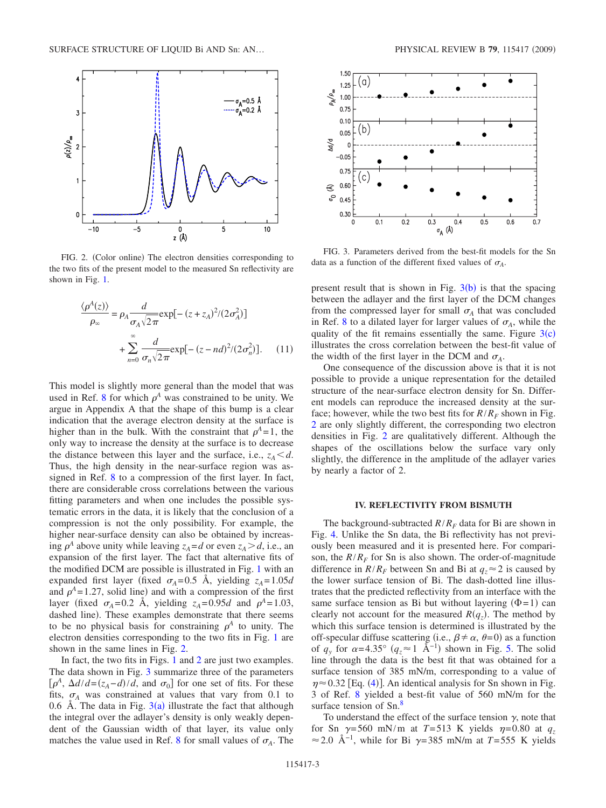<span id="page-2-0"></span>

FIG. 2. (Color online) The electron densities corresponding to the two fits of the present model to the measured Sn reflectivity are shown in Fig. [1.](#page-1-1)

<span id="page-2-2"></span>
$$
\frac{\langle \rho^A(z) \rangle}{\rho_{\infty}} = \rho_A \frac{d}{\sigma_A \sqrt{2\pi}} \exp[-(z + z_A)^2 / (2\sigma_A^2)]
$$

$$
+ \sum_{n=0}^{\infty} \frac{d}{\sigma_n \sqrt{2\pi}} \exp[-(z - nd)^2 / (2\sigma_n^2)]. \quad (11)
$$

This model is slightly more general than the model that was used in Ref. [8](#page-6-7) for which  $\rho^A$  was constrained to be unity. We argue in Appendix A that the shape of this bump is a clear indication that the average electron density at the surface is higher than in the bulk. With the constraint that  $\rho^4 = 1$ , the only way to increase the density at the surface is to decrease the distance between this layer and the surface, i.e.,  $z_A \leq d$ . Thus, the high density in the near-surface region was assigned in Ref. [8](#page-6-7) to a compression of the first layer. In fact, there are considerable cross correlations between the various fitting parameters and when one includes the possible systematic errors in the data, it is likely that the conclusion of a compression is not the only possibility. For example, the higher near-surface density can also be obtained by increasing  $\rho^A$  above unity while leaving  $z_A = d$  or even  $z_A > d$ , i.e., an expansion of the first layer. The fact that alternative fits of the modified DCM are possible is illustrated in Fig. [1](#page-1-1) with an expanded first layer (fixed  $\sigma_A = 0.5$  Å, yielding  $z_A = 1.05d$ and  $\rho^A = 1.27$ , solid line) and with a compression of the first layer (fixed  $\sigma_A = 0.2$  Å, yielding  $z_A = 0.95d$  and  $\rho^A = 1.03$ , dashed line). These examples demonstrate that there seems to be no physical basis for constraining  $\rho^A$  to unity. The electron densities corresponding to the two fits in Fig. [1](#page-1-1) are shown in the same lines in Fig. [2.](#page-2-0)

In fact, the two fits in Figs. [1](#page-1-1) and [2](#page-2-0) are just two examples. The data shown in Fig. [3](#page-2-1) summarize three of the parameters  $\left[\rho^A, \Delta d/d = (z_A - d)/d, \text{ and } \sigma_0\right]$  for one set of fits. For these fits,  $\sigma_A$  was constrained at values that vary from 0.1 to 0.6 Å. The data in Fig.  $3(a)$  $3(a)$  illustrate the fact that although the integral over the adlayer's density is only weakly dependent of the Gaussian width of that layer, its value only matches the value used in Ref. [8](#page-6-7) for small values of  $\sigma_A$ . The

<span id="page-2-1"></span>

FIG. 3. Parameters derived from the best-fit models for the Sn data as a function of the different fixed values of  $\sigma_A$ .

present result that is shown in Fig.  $3(b)$  $3(b)$  is that the spacing between the adlayer and the first layer of the DCM changes from the compressed layer for small  $\sigma_A$  that was concluded in Ref. [8](#page-6-7) to a dilated layer for larger values of  $\sigma_A$ , while the quality of the fit remains essentially the same. Figure  $3(c)$  $3(c)$ illustrates the cross correlation between the best-fit value of the width of the first layer in the DCM and  $\sigma_A$ .

One consequence of the discussion above is that it is not possible to provide a unique representation for the detailed structure of the near-surface electron density for Sn. Different models can reproduce the increased density at the surface; however, while the two best fits for  $R/R_F$  shown in Fig. [2](#page-2-0) are only slightly different, the corresponding two electron densities in Fig. [2](#page-2-0) are qualitatively different. Although the shapes of the oscillations below the surface vary only slightly, the difference in the amplitude of the adlayer varies by nearly a factor of 2.

## **IV. REFLECTIVITY FROM BISMUTH**

The background-subtracted  $R/R_F$  data for Bi are shown in Fig. [4.](#page-3-0) Unlike the Sn data, the Bi reflectivity has not previously been measured and it is presented here. For comparison, the  $R/R_F$  for Sn is also shown. The order-of-magnitude difference in  $R/R_F$  between Sn and Bi at  $q_z \approx 2$  is caused by the lower surface tension of Bi. The dash-dotted line illustrates that the predicted reflectivity from an interface with the same surface tension as Bi but without layering  $(\Phi = 1)$  can clearly not account for the measured  $R(q_z)$ . The method by which this surface tension is determined is illustrated by the off-specular diffuse scattering (i.e.,  $\beta \neq \alpha$ ,  $\theta = 0$ ) as a function of  $q_y$  for  $\alpha = 4.35^\circ$   $(q_z \approx 1 \text{ Å}^{-1})$  shown in Fig. [5.](#page-3-1) The solid line through the data is the best fit that was obtained for a surface tension of 385 mN/m, corresponding to a value of  $\eta \approx 0.32$  [Eq. ([4](#page-1-2))]. An identical analysis for Sn shown in Fig. 3 of Ref. [8](#page-6-7) yielded a best-fit value of 560 mN/m for the surface tension of Sn.<sup>8</sup>

To understand the effect of the surface tension  $\gamma$ , note that for Sn  $\gamma$ =560 mN/m at *T*=513 K yields  $\eta$ =0.80 at  $q_z$ ≈ 2.0 Å<sup>-1</sup>, while for Bi  $\gamma$ =385 mN/m at *T*=555 K yields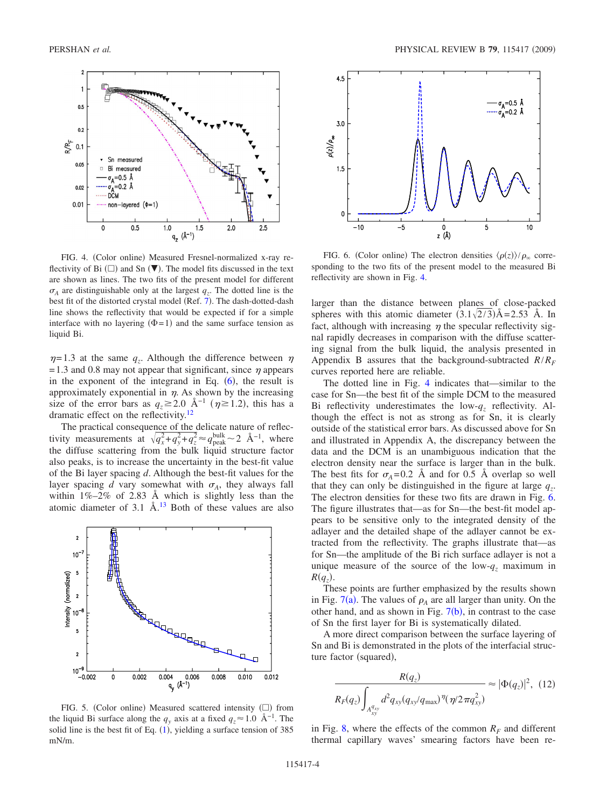<span id="page-3-0"></span>

FIG. 4. (Color online) Measured Fresnel-normalized x-ray reflectivity of Bi  $(\square)$  and Sn  $(\blacktriangledown)$ . The model fits discussed in the text are shown as lines. The two fits of the present model for different  $\sigma_A$  are distinguishable only at the largest  $q_z$ . The dotted line is the best fit of the distorted crystal model (Ref. [7](#page-6-6)). The dash-dotted-dash line shows the reflectivity that would be expected if for a simple interface with no layering  $(\Phi = 1)$  and the same surface tension as liquid Bi.

 $\eta$ = 1.3 at the same  $q_z$ . Although the difference between  $\eta$  $= 1.3$  and 0.8 may not appear that significant, since  $\eta$  appears in the exponent of the integrand in Eq.  $(6)$  $(6)$  $(6)$ , the result is approximately exponential in  $\eta$ . As shown by the increasing size of the error bars as  $q_z \ge 2.0$  Å<sup>-1</sup> ( $\eta \ge 1.2$ ), this has a dramatic effect on the reflectivity[.12](#page-6-10)

The practical consequence of the delicate nature of reflectivity measurements at  $\sqrt{q_x^2+q_y^2+q_z^2} \approx q_{\text{peak}}^{\text{bulk}} \sim 2 \text{ Å}^{-1}$ , where the diffuse scattering from the bulk liquid structure factor also peaks, is to increase the uncertainty in the best-fit value of the Bi layer spacing *d*. Although the best-fit values for the layer spacing *d* vary somewhat with  $\sigma_A$ , they always fall within  $1\% - 2\%$  of 2.83 Å which is slightly less than the atomic diameter of  $3.1 \text{ Å}$ .<sup>13</sup> Both of these values are also

<span id="page-3-1"></span>

FIG. 5. (Color online) Measured scattered intensity  $(\Box)$  from the liquid Bi surface along the  $q_y$  axis at a fixed  $q_z \approx 1.0 \text{ Å}^{-1}$ . The solid line is the best fit of Eq.  $(1)$  $(1)$  $(1)$ , yielding a surface tension of 385 mN/m.

<span id="page-3-2"></span>

FIG. 6. (Color online) The electron densities  $\langle \rho(z) \rangle / \rho_{\infty}$  corresponding to the two fits of the present model to the measured Bi reflectivity are shown in Fig. [4.](#page-3-0)

larger than the distance between planes of close-packed spheres with this atomic diameter  $(3.1\sqrt{2/3})$ Å=2.53 Å. In fact, although with increasing  $\eta$  the specular reflectivity signal rapidly decreases in comparison with the diffuse scattering signal from the bulk liquid, the analysis presented in Appendix B assures that the background-subtracted *R*/*RF* curves reported here are reliable.

The dotted line in Fig. [4](#page-3-0) indicates that—similar to the case for Sn—the best fit of the simple DCM to the measured Bi reflectivity underestimates the low-*qz* reflectivity. Although the effect is not as strong as for Sn, it is clearly outside of the statistical error bars. As discussed above for Sn and illustrated in Appendix A, the discrepancy between the data and the DCM is an unambiguous indication that the electron density near the surface is larger than in the bulk. The best fits for  $\sigma_A = 0.2$  Å and for 0.5 Å overlap so well that they can only be distinguished in the figure at large  $q_z$ . The electron densities for these two fits are drawn in Fig. [6.](#page-3-2) The figure illustrates that—as for Sn—the best-fit model appears to be sensitive only to the integrated density of the adlayer and the detailed shape of the adlayer cannot be extracted from the reflectivity. The graphs illustrate that—as for Sn—the amplitude of the Bi rich surface adlayer is not a unique measure of the source of the low- $q_z$  maximum in  $R(q_z)$ .

These points are further emphasized by the results shown in Fig.  $7(a)$  $7(a)$ . The values of  $\rho_A$  are all larger than unity. On the other hand, and as shown in Fig.  $7(b)$  $7(b)$ , in contrast to the case of Sn the first layer for Bi is systematically dilated.

A more direct comparison between the surface layering of Sn and Bi is demonstrated in the plots of the interfacial structure factor (squared),

$$
\frac{R(q_z)}{R_F(q_z)\int_{A_{xy}^{q_{xy}}} d^2q_{xy}(q_{xy}/q_{\text{max}})^{\eta}(\eta/2\pi q_{xy}^2)} \approx |\Phi(q_z)|^2, (12)
$$

in Fig. [8,](#page-4-1) where the effects of the common  $R_F$  and different thermal capillary waves' smearing factors have been re-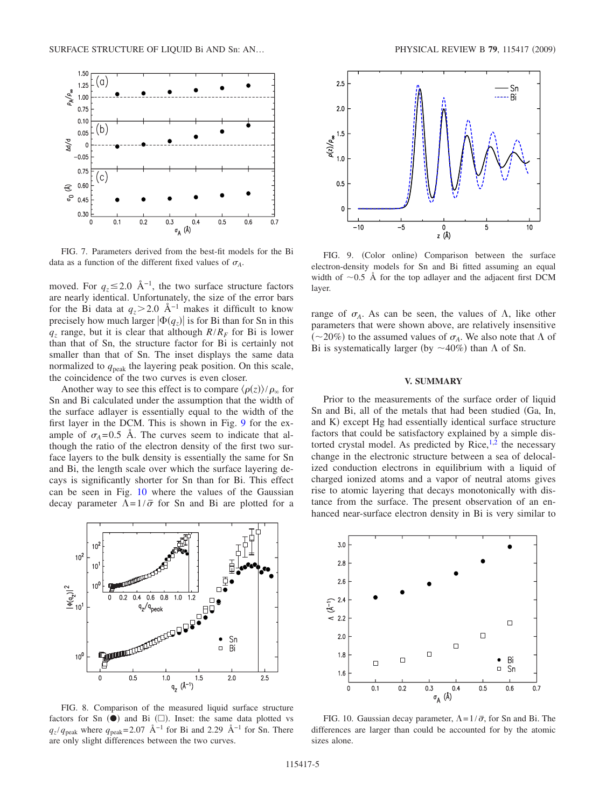<span id="page-4-0"></span>

FIG. 7. Parameters derived from the best-fit models for the Bi data as a function of the different fixed values of  $\sigma_A$ .

moved. For  $q_z \leq 2.0 \text{ Å}^{-1}$ , the two surface structure factors are nearly identical. Unfortunately, the size of the error bars for the Bi data at  $q_z > 2.0$  Å<sup>-1</sup> makes it difficult to know precisely how much larger  $|\Phi(q_z)|$  is for Bi than for Sn in this  $q_z$  range, but it is clear that although  $R/R_F$  for Bi is lower than that of Sn, the structure factor for Bi is certainly not smaller than that of Sn. The inset displays the same data normalized to  $q_{\text{peak}}$  the layering peak position. On this scale, the coincidence of the two curves is even closer.

Another way to see this effect is to compare  $\langle \rho(z) \rangle / \rho_{\infty}$  for Sn and Bi calculated under the assumption that the width of the surface adlayer is essentially equal to the width of the first layer in the DCM. This is shown in Fig. [9](#page-4-2) for the example of  $\sigma_A = 0.5$  Å. The curves seem to indicate that although the ratio of the electron density of the first two surface layers to the bulk density is essentially the same for Sn and Bi, the length scale over which the surface layering decays is significantly shorter for Sn than for Bi. This effect can be seen in Fig. [10](#page-4-3) where the values of the Gaussian decay parameter  $\Lambda = 1/\bar{\sigma}$  for Sn and Bi are plotted for a

<span id="page-4-1"></span>

FIG. 8. Comparison of the measured liquid surface structure factors for Sn  $(\bullet)$  and Bi  $(\square)$ . Inset: the same data plotted vs  $q_z/q_{\text{peak}}$  where  $q_{\text{peak}}$ = 2.07 Å<sup>−1</sup> for Bi and 2.29 Å<sup>−1</sup> for Sn. There are only slight differences between the two curves.

<span id="page-4-2"></span>

FIG. 9. (Color online) Comparison between the surface electron-density models for Sn and Bi fitted assuming an equal width of  $\sim 0.5$  Å for the top adlayer and the adjacent first DCM layer.

range of  $\sigma_A$ . As can be seen, the values of  $\Lambda$ , like other parameters that were shown above, are relatively insensitive  $(\sim 20\%)$  to the assumed values of  $\sigma_A$ . We also note that  $\Lambda$  of Bi is systematically larger (by  $\sim$  40%) than  $\Lambda$  of Sn.

### **V. SUMMARY**

Prior to the measurements of the surface order of liquid Sn and Bi, all of the metals that had been studied Ga, In, and K) except Hg had essentially identical surface structure factors that could be satisfactory explained by a simple distorted crystal model. As predicted by Rice, $^{1,2}$  $^{1,2}$  $^{1,2}$  the necessary change in the electronic structure between a sea of delocalized conduction electrons in equilibrium with a liquid of charged ionized atoms and a vapor of neutral atoms gives rise to atomic layering that decays monotonically with distance from the surface. The present observation of an enhanced near-surface electron density in Bi is very similar to

<span id="page-4-3"></span>

FIG. 10. Gaussian decay parameter,  $\Lambda = 1/\bar{\sigma}$ , for Sn and Bi. The differences are larger than could be accounted for by the atomic sizes alone.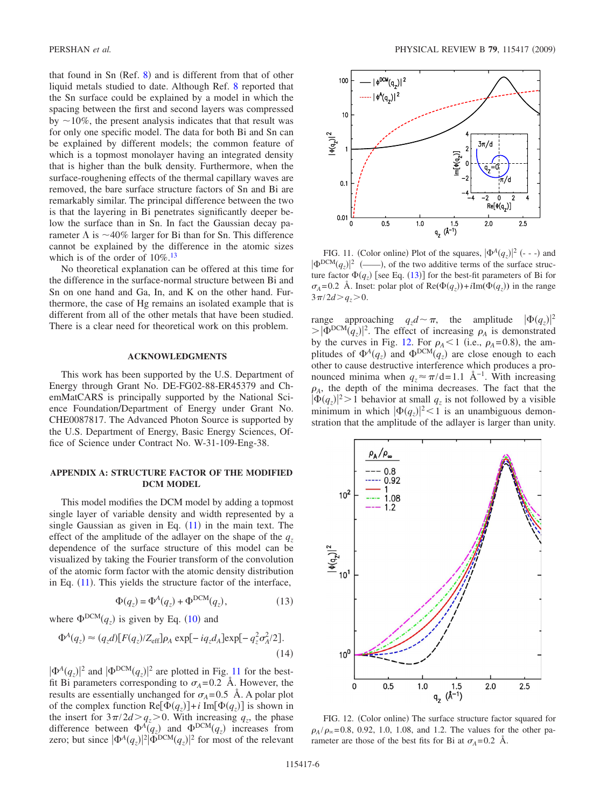that found in Sn  $(Ref. 8)$  $(Ref. 8)$  $(Ref. 8)$  and is different from that of other liquid metals studied to date. Although Ref. [8](#page-6-7) reported that the Sn surface could be explained by a model in which the spacing between the first and second layers was compressed by  $\sim$ 10%, the present analysis indicates that that result was for only one specific model. The data for both Bi and Sn can be explained by different models; the common feature of which is a topmost monolayer having an integrated density that is higher than the bulk density. Furthermore, when the surface-roughening effects of the thermal capillary waves are removed, the bare surface structure factors of Sn and Bi are remarkably similar. The principal difference between the two is that the layering in Bi penetrates significantly deeper below the surface than in Sn. In fact the Gaussian decay parameter  $\Lambda$  is  $\sim$ 40% larger for Bi than for Sn. This difference cannot be explained by the difference in the atomic sizes which is of the order of  $10\%$ .<sup>13</sup>

No theoretical explanation can be offered at this time for the difference in the surface-normal structure between Bi and Sn on one hand and Ga, In, and K on the other hand. Furthermore, the case of Hg remains an isolated example that is different from all of the other metals that have been studied. There is a clear need for theoretical work on this problem.

#### **ACKNOWLEDGMENTS**

This work has been supported by the U.S. Department of Energy through Grant No. DE-FG02-88-ER45379 and ChemMatCARS is principally supported by the National Science Foundation/Department of Energy under Grant No. CHE0087817. The Advanced Photon Source is supported by the U.S. Department of Energy, Basic Energy Sciences, Office of Science under Contract No. W-31-109-Eng-38.

# **APPENDIX A: STRUCTURE FACTOR OF THE MODIFIED DCM MODEL**

This model modifies the DCM model by adding a topmost single layer of variable density and width represented by a single Gaussian as given in Eq.  $(11)$  $(11)$  $(11)$  in the main text. The effect of the amplitude of the adlayer on the shape of the  $q_z$ dependence of the surface structure of this model can be visualized by taking the Fourier transform of the convolution of the atomic form factor with the atomic density distribution in Eq.  $(11)$  $(11)$  $(11)$ . This yields the structure factor of the interface,

$$
\Phi(q_z) = \Phi^A(q_z) + \Phi^{DCM}(q_z),\tag{13}
$$

<span id="page-5-2"></span>where  $\Phi^{DCM}(q_z)$  is given by Eq. ([10](#page-1-3)) and

$$
\Phi^A(q_z) \approx (q_z d) [F(q_z)/Z_{\text{eff}}] \rho_A \exp[-iq_z d_A] \exp[-q_z^2 \sigma_A^2/2].
$$
\n(14)

 $|\Phi^A(q_z)|^2$  and  $|\Phi^{DCM}(q_z)|^2$  are plotted in Fig. [11](#page-5-0) for the bestfit Bi parameters corresponding to  $\sigma_A = 0.2$  Å. However, the results are essentially unchanged for  $\sigma_A$ =0.5 Å. A polar plot of the complex function  $\text{Re}[\Phi(q_z)] + i \text{Im}[\Phi(q_z)]$  is shown in the insert for  $3\pi/2d > q_z > 0$ . With increasing  $q_z$ , the phase difference between  $\Phi^A(q_z)$  and  $\Phi^{DCM}(q_z)$  increases from zero; but since  $|\Phi^A(q_z)|^2 |\Phi^{DCM}(q_z)|^2$  for most of the relevant

<span id="page-5-0"></span>

FIG. 11. (Color online) Plot of the squares,  $|\Phi^A(q_z)|^2$  (---) and DCM*qz*-<sup>2</sup> ——-, of the two additive terms of the surface structure factor  $\Phi(q_z)$  [see Eq. ([13](#page-5-2))] for the best-fit parameters of Bi for  $\sigma_A = 0.2$  Å. Inset: polar plot of  $\text{Re}(\Phi(q_z)) + i\text{Im}(\Phi(q_z))$  in the range  $3\pi/2d > q_{z} > 0$ .

range approaching  $q_z d \sim \pi$ , the amplitude  $|\Phi(q_z)|^2$  $>|\Phi^{\text{DCM}}(q_z)|^2$ . The effect of increasing  $\rho_A$  is demonstrated by the curves in Fig. [12.](#page-5-1) For  $\rho_A < 1$  (i.e.,  $\rho_A = 0.8$ ), the amplitudes of  $\Phi^A(q_z)$  and  $\Phi^{DCM}(q_z)$  are close enough to each other to cause destructive interference which produces a pronounced minima when  $q_z \approx \pi/d = 1.1$  Å<sup>-1</sup>. With increasing  $\rho_A$ , the depth of the minima decreases. The fact that the  $|\Phi(q_z)|^2 > 1$  behavior at small  $q_z$  is not followed by a visible minimum in which  $|\Phi(q_z)|^2 < 1$  is an unambiguous demonstration that the amplitude of the adlayer is larger than unity.

<span id="page-5-1"></span>

FIG. 12. (Color online) The surface structure factor squared for  $\rho_A/\rho_\infty$ =0.8, 0.92, 1.0, 1.08, and 1.2. The values for the other parameter are those of the best fits for Bi at  $\sigma_A = 0.2$  Å.